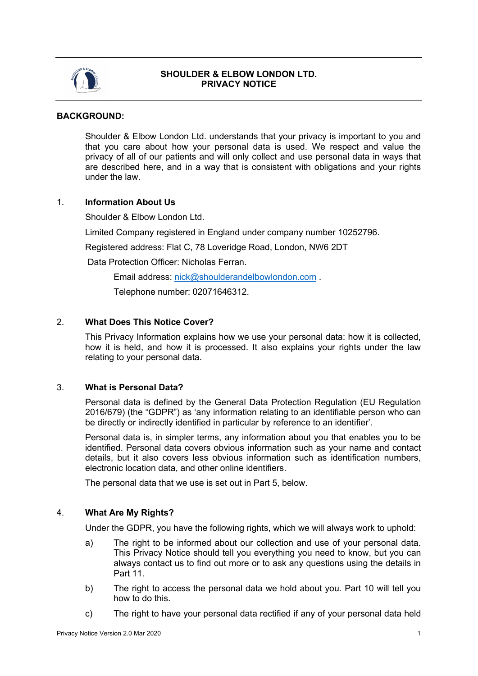

# **SHOULDER & ELBOW LONDON LTD. PRIVACY NOTICE**

### **BACKGROUND:**

Shoulder & Elbow London Ltd. understands that your privacy is important to you and that you care about how your personal data is used. We respect and value the privacy of all of our patients and will only collect and use personal data in ways that are described here, and in a way that is consistent with obligations and your rights under the law.

### 1. **Information About Us**

Shoulder & Elbow London Ltd.

Limited Company registered in England under company number 10252796.

Registered address: Flat C, 78 Loveridge Road, London, NW6 2DT

Data Protection Officer: Nicholas Ferran.

Email address: nick@shoulderandelbowlondon.com .

Telephone number: 02071646312.

# 2. **What Does This Notice Cover?**

This Privacy Information explains how we use your personal data: how it is collected, how it is held, and how it is processed. It also explains your rights under the law relating to your personal data.

### 3. **What is Personal Data?**

Personal data is defined by the General Data Protection Regulation (EU Regulation 2016/679) (the "GDPR") as 'any information relating to an identifiable person who can be directly or indirectly identified in particular by reference to an identifier'.

Personal data is, in simpler terms, any information about you that enables you to be identified. Personal data covers obvious information such as your name and contact details, but it also covers less obvious information such as identification numbers, electronic location data, and other online identifiers.

The personal data that we use is set out in Part 5, below.

# 4. **What Are My Rights?**

Under the GDPR, you have the following rights, which we will always work to uphold:

- a) The right to be informed about our collection and use of your personal data. This Privacy Notice should tell you everything you need to know, but you can always contact us to find out more or to ask any questions using the details in Part 11.
- b) The right to access the personal data we hold about you. Part 10 will tell you how to do this.
- c) The right to have your personal data rectified if any of your personal data held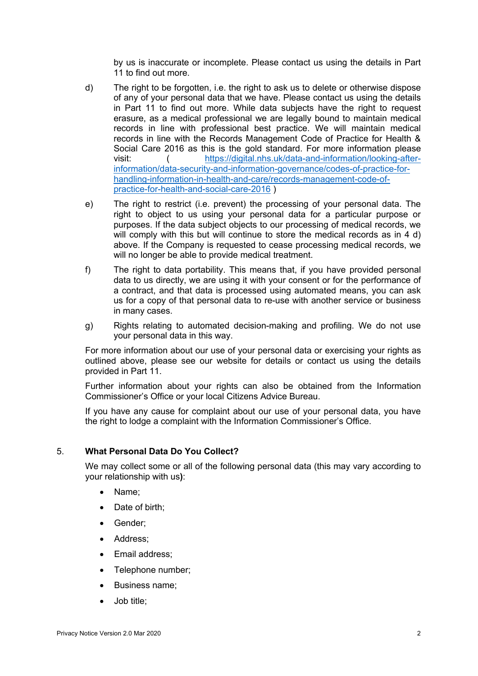by us is inaccurate or incomplete. Please contact us using the details in Part 11 to find out more.

- d) The right to be forgotten, i.e. the right to ask us to delete or otherwise dispose of any of your personal data that we have. Please contact us using the details in Part 11 to find out more. While data subjects have the right to request erasure, as a medical professional we are legally bound to maintain medical records in line with professional best practice. We will maintain medical records in line with the Records Management Code of Practice for Health & Social Care 2016 as this is the gold standard. For more information please visit: ( https://digital.nhs.uk/data-and-information/looking-afterinformation/data-security-and-information-governance/codes-of-practice-forhandling-information-in-health-and-care/records-management-code-ofpractice-for-health-and-social-care-2016 )
- e) The right to restrict (i.e. prevent) the processing of your personal data. The right to object to us using your personal data for a particular purpose or purposes. If the data subject objects to our processing of medical records, we will comply with this but will continue to store the medical records as in 4 d) above. If the Company is requested to cease processing medical records, we will no longer be able to provide medical treatment.
- f) The right to data portability. This means that, if you have provided personal data to us directly, we are using it with your consent or for the performance of a contract, and that data is processed using automated means, you can ask us for a copy of that personal data to re-use with another service or business in many cases.
- g) Rights relating to automated decision-making and profiling. We do not use your personal data in this way.

For more information about our use of your personal data or exercising your rights as outlined above, please see our website for details or contact us using the details provided in Part 11.

Further information about your rights can also be obtained from the Information Commissioner's Office or your local Citizens Advice Bureau.

If you have any cause for complaint about our use of your personal data, you have the right to lodge a complaint with the Information Commissioner's Office.

# 5. **What Personal Data Do You Collect?**

We may collect some or all of the following personal data (this may vary according to your relationship with us**)**:

- Name;
- Date of birth:
- Gender;
- Address;
- Email address:
- Telephone number;
- Business name;
- Job title;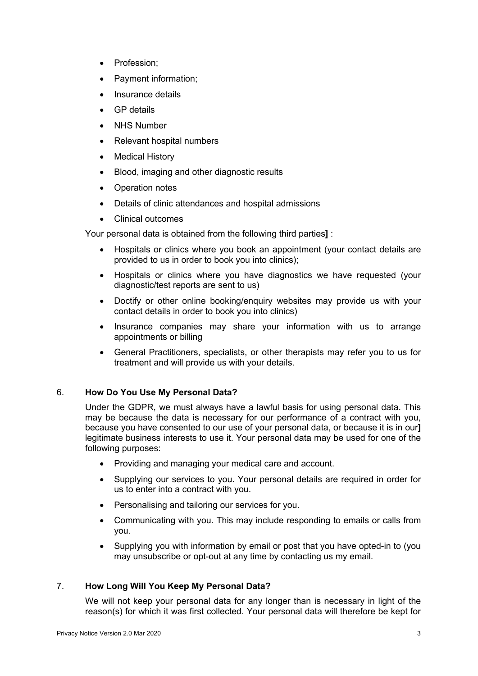- Profession:
- Payment information;
- Insurance details
- GP details
- **NHS Number**
- Relevant hospital numbers
- Medical History
- Blood, imaging and other diagnostic results
- Operation notes
- Details of clinic attendances and hospital admissions
- Clinical outcomes

Your personal data is obtained from the following third parties**]** :

- Hospitals or clinics where you book an appointment (your contact details are provided to us in order to book you into clinics);
- Hospitals or clinics where you have diagnostics we have requested (your diagnostic/test reports are sent to us)
- Doctify or other online booking/enquiry websites may provide us with your contact details in order to book you into clinics)
- Insurance companies may share your information with us to arrange appointments or billing
- General Practitioners, specialists, or other therapists may refer you to us for treatment and will provide us with your details.

# 6. **How Do You Use My Personal Data?**

Under the GDPR, we must always have a lawful basis for using personal data. This may be because the data is necessary for our performance of a contract with you, because you have consented to our use of your personal data, or because it is in our**]**  legitimate business interests to use it. Your personal data may be used for one of the following purposes:

- Providing and managing your medical care and account.
- Supplying our services to you. Your personal details are required in order for us to enter into a contract with you.
- Personalising and tailoring our services for you.
- Communicating with you. This may include responding to emails or calls from you.
- Supplying you with information by email or post that you have opted-in to (you may unsubscribe or opt-out at any time by contacting us my email.

# 7. **How Long Will You Keep My Personal Data?**

We will not keep your personal data for any longer than is necessary in light of the reason(s) for which it was first collected. Your personal data will therefore be kept for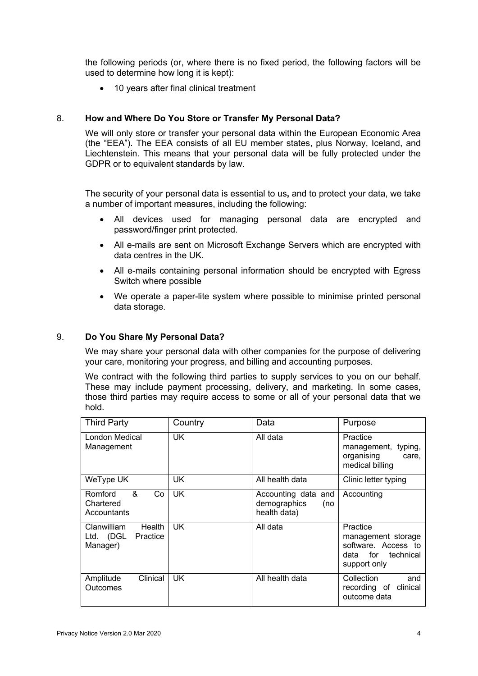the following periods (or, where there is no fixed period, the following factors will be used to determine how long it is kept):

• 10 years after final clinical treatment

### 8. **How and Where Do You Store or Transfer My Personal Data?**

We will only store or transfer your personal data within the European Economic Area (the "EEA"). The EEA consists of all EU member states, plus Norway, Iceland, and Liechtenstein. This means that your personal data will be fully protected under the GDPR or to equivalent standards by law.

The security of your personal data is essential to us**,** and to protect your data, we take a number of important measures, including the following:

- All devices used for managing personal data are encrypted and password/finger print protected.
- All e-mails are sent on Microsoft Exchange Servers which are encrypted with data centres in the UK.
- All e-mails containing personal information should be encrypted with Egress Switch where possible
- We operate a paper-lite system where possible to minimise printed personal data storage.

#### 9. **Do You Share My Personal Data?**

We may share your personal data with other companies for the purpose of delivering your care, monitoring your progress, and billing and accounting purposes.

We contract with the following third parties to supply services to you on our behalf. These may include payment processing, delivery, and marketing. In some cases, those third parties may require access to some or all of your personal data that we hold.

| <b>Third Party</b>                                         | Country   | Data                                                       | Purpose                                                                                     |
|------------------------------------------------------------|-----------|------------------------------------------------------------|---------------------------------------------------------------------------------------------|
| London Medical<br>Management                               | UK.       | All data                                                   | Practice<br>management, typing,<br>organising<br>care,<br>medical billing                   |
| WeType UK                                                  | UK        | All health data                                            | Clinic letter typing                                                                        |
| &<br>Romford<br>Co<br>Chartered<br>Accountants             | <b>UK</b> | Accounting data and<br>demographics<br>(no<br>health data) | Accounting                                                                                  |
| Clanwilliam<br>Health<br>Practice<br>Ltd. (DGL<br>Manager) | <b>UK</b> | All data                                                   | Practice<br>management storage<br>software. Access to<br>data for technical<br>support only |
| Clinical<br>Amplitude<br>Outcomes                          | UK.       | All health data                                            | Collection<br>and<br>recording of clinical<br>outcome data                                  |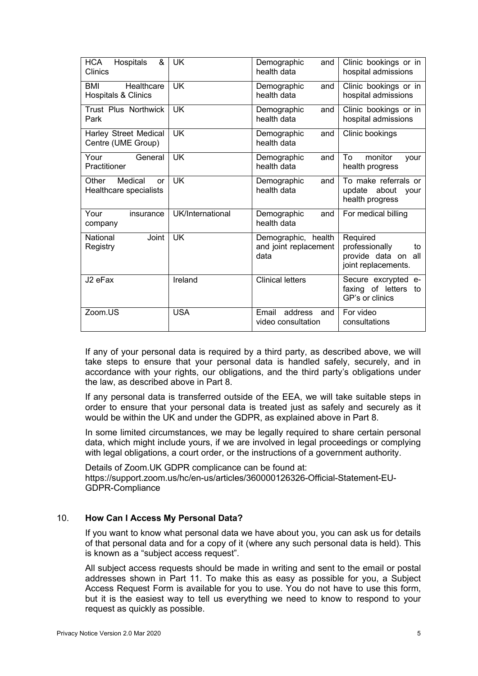| Hospitals<br>HCA<br>&<br>Clinics                    | <b>UK</b>        | Demographic<br>and<br>health data                    | Clinic bookings or in<br>hospital admissions                                      |
|-----------------------------------------------------|------------------|------------------------------------------------------|-----------------------------------------------------------------------------------|
| Healthcare<br>BMI<br><b>Hospitals &amp; Clinics</b> | <b>UK</b>        | Demographic<br>and<br>health data                    | Clinic bookings or in<br>hospital admissions                                      |
| Trust Plus Northwick<br>Park                        | <b>UK</b>        | Demographic<br>and<br>health data                    | Clinic bookings or in<br>hospital admissions                                      |
| <b>Harley Street Medical</b><br>Centre (UME Group)  | <b>UK</b>        | Demographic<br>and<br>health data                    | Clinic bookings                                                                   |
| Your<br>General<br>Practitioner                     | <b>UK</b>        | Demographic<br>and<br>health data                    | To<br>monitor<br>your<br>health progress                                          |
| Medical<br>Other<br>or<br>Healthcare specialists    | UK               | Demographic<br>and<br>health data                    | To make referrals or<br>update about<br>vour<br>health progress                   |
| Your<br>insurance<br>company                        | UK/International | Demographic<br>and<br>health data                    | For medical billing                                                               |
| National<br>Joint<br>Registry                       | <b>UK</b>        | Demographic, health<br>and joint replacement<br>data | Required<br>professionally<br>to<br>provide data on<br>all<br>joint replacements. |
| J2 eFax                                             | Ireland          | <b>Clinical letters</b>                              | Secure excrypted e-<br>faxing of letters<br>to<br>GP's or clinics                 |
| Zoom.US                                             | <b>USA</b>       | address<br>Email<br>and<br>video consultation        | For video<br>consultations                                                        |

If any of your personal data is required by a third party, as described above, we will take steps to ensure that your personal data is handled safely, securely, and in accordance with your rights, our obligations, and the third party's obligations under the law, as described above in Part 8.

If any personal data is transferred outside of the EEA, we will take suitable steps in order to ensure that your personal data is treated just as safely and securely as it would be within the UK and under the GDPR, as explained above in Part 8.

In some limited circumstances, we may be legally required to share certain personal data, which might include yours, if we are involved in legal proceedings or complying with legal obligations, a court order, or the instructions of a government authority.

Details of Zoom.UK GDPR complicance can be found at: https://support.zoom.us/hc/en-us/articles/360000126326-Official-Statement-EU-GDPR-Compliance

# 10. **How Can I Access My Personal Data?**

If you want to know what personal data we have about you, you can ask us for details of that personal data and for a copy of it (where any such personal data is held). This is known as a "subject access request".

All subject access requests should be made in writing and sent to the email or postal addresses shown in Part 11. To make this as easy as possible for you, a Subject Access Request Form is available for you to use. You do not have to use this form, but it is the easiest way to tell us everything we need to know to respond to your request as quickly as possible.